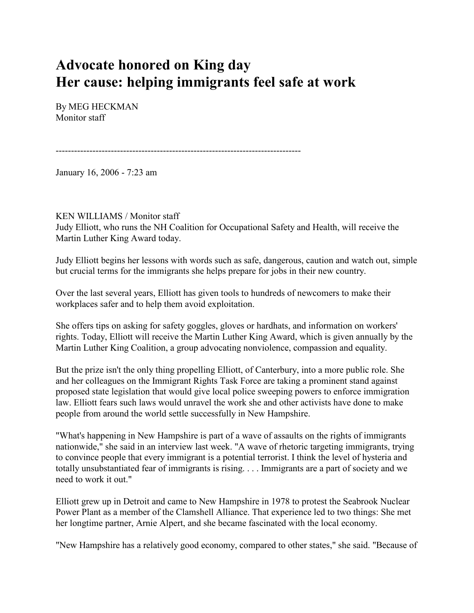## **Advocate honored on King day Her cause: helping immigrants feel safe at work**

By MEG HECKMAN Monitor staff

--------------------------------------------------------------------------------

January 16, 2006 - 7:23 am

## KEN WILLIAMS / Monitor staff

Judy Elliott, who runs the NH Coalition for Occupational Safety and Health, will receive the Martin Luther King Award today.

Judy Elliott begins her lessons with words such as safe, dangerous, caution and watch out, simple but crucial terms for the immigrants she helps prepare for jobs in their new country.

Over the last several years, Elliott has given tools to hundreds of newcomers to make their workplaces safer and to help them avoid exploitation.

She offers tips on asking for safety goggles, gloves or hardhats, and information on workers' rights. Today, Elliott will receive the Martin Luther King Award, which is given annually by the Martin Luther King Coalition, a group advocating nonviolence, compassion and equality.

But the prize isn't the only thing propelling Elliott, of Canterbury, into a more public role. She and her colleagues on the Immigrant Rights Task Force are taking a prominent stand against proposed state legislation that would give local police sweeping powers to enforce immigration law. Elliott fears such laws would unravel the work she and other activists have done to make people from around the world settle successfully in New Hampshire.

"What's happening in New Hampshire is part of a wave of assaults on the rights of immigrants nationwide," she said in an interview last week. "A wave of rhetoric targeting immigrants, trying to convince people that every immigrant is a potential terrorist. I think the level of hysteria and totally unsubstantiated fear of immigrants is rising. . . . Immigrants are a part of society and we need to work it out."

Elliott grew up in Detroit and came to New Hampshire in 1978 to protest the Seabrook Nuclear Power Plant as a member of the Clamshell Alliance. That experience led to two things: She met her longtime partner, Arnie Alpert, and she became fascinated with the local economy.

"New Hampshire has a relatively good economy, compared to other states," she said. "Because of